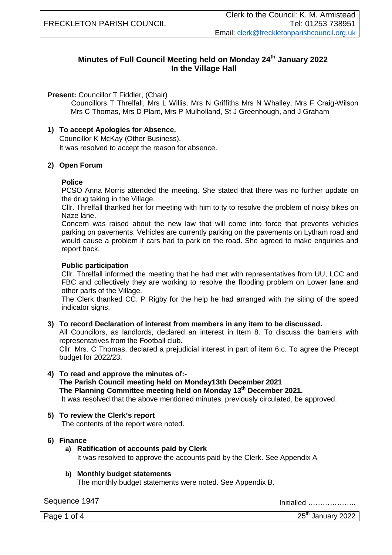## **Minutes of Full Council Meeting held on Monday 24th January 2022 In the Village Hall**

#### **Present: Councillor T Fiddler, (Chair)**

Councillors T Threlfall, Mrs L Willis, Mrs N Griffiths Mrs N Whalley, Mrs F Craig-Wilson Mrs C Thomas, Mrs D Plant, Mrs P Mulholland, St J Greenhough, and J Graham

#### **1) To accept Apologies for Absence.**

Councillor K McKay (Other Business). It was resolved to accept the reason for absence.

#### **2) Open Forum**

### **Police**

PCSO Anna Morris attended the meeting. She stated that there was no further update on the drug taking in the Village.

Cllr. Threlfall thanked her for meeting with him to ty to resolve the problem of noisy bikes on Naze lane.

Concern was raised about the new law that will come into force that prevents vehicles parking on pavements. Vehicles are currently parking on the pavements on Lytham road and would cause a problem if cars had to park on the road. She agreed to make enquiries and report back.

#### **Public participation**

Cllr. Threlfall informed the meeting that he had met with representatives from UU, LCC and FBC and collectively they are working to resolve the flooding problem on Lower lane and other parts of the Village.

The Clerk thanked CC. P Rigby for the help he had arranged with the siting of the speed indicator signs.

#### **3) To record Declaration of interest from members in any item to be discussed.**

All Councilors, as landlords, declared an interest in Item 8. To discuss the barriers with representatives from the Football club.

Cllr. Mrs. C Thomas, declared a prejudicial interest in part of item 6.c. To agree the Precept budget for 2022/23.

## **4) To read and approve the minutes of:-**

**The Parish Council meeting held on Monday13th December 2021 The Planning Committee meeting held on Monday 13th December 2021.** It was resolved that the above mentioned minutes, previously circulated, be approved.

## **5) To review the Clerk's report**

The contents of the report were noted.

#### **6) Finance**

- **a) Ratification of accounts paid by Clerk** It was resolved to approve the accounts paid by the Clerk. See Appendix A
- **b) Monthly budget statements**  The monthly budget statements were noted. See Appendix B.

Sequence 1947 Initialled ………………..

Page 1 of 4  $25<sup>th</sup>$  January 2022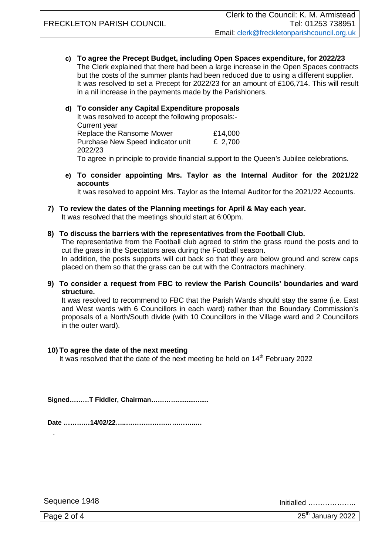**c) To agree the Precept Budget, including Open Spaces expenditure, for 2022/23** The Clerk explained that there had been a large increase in the Open Spaces contracts but the costs of the summer plants had been reduced due to using a different supplier. It was resolved to set a Precept for 2022/23 for an amount of £106,714. This will result in a nil increase in the payments made by the Parishioners.

#### **d) To consider any Capital Expenditure proposals**

It was resolved to accept the following proposals:- Current year Replace the Ransome Mower **E14,000** Purchase New Speed indicator unit E 2,700 2022/23 To agree in principle to provide financial support to the Queen's Jubilee celebrations.

**e) To consider appointing Mrs. Taylor as the Internal Auditor for the 2021/22 accounts**

It was resolved to appoint Mrs. Taylor as the Internal Auditor for the 2021/22 Accounts.

#### **7) To review the dates of the Planning meetings for April & May each year.**

It was resolved that the meetings should start at 6:00pm.

#### **8) To discuss the barriers with the representatives from the Football Club.**

The representative from the Football club agreed to strim the grass round the posts and to cut the grass in the Spectators area during the Football season.

In addition, the posts supports will cut back so that they are below ground and screw caps placed on them so that the grass can be cut with the Contractors machinery.

#### **9) To consider a request from FBC to review the Parish Councils' boundaries and ward structure.**

It was resolved to recommend to FBC that the Parish Wards should stay the same (i.e. East and West wards with 6 Councillors in each ward) rather than the Boundary Commission's proposals of a North/South divide (with 10 Councillors in the Village ward and 2 Councillors in the outer ward).

#### **10) To agree the date of the next meeting**

It was resolved that the date of the next meeting be held on  $14<sup>th</sup>$  February 2022

**Signed………T Fiddler, Chairman………….................**

**Date …………14/02/22…..…………………………..…**

Sequence 1948 Initialled ………………..

.

Page 2 of 4  $25<sup>th</sup>$  January 2022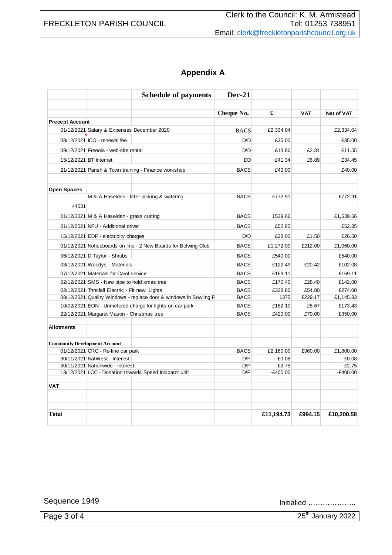## FRECKLETON PARISH COUNCIL

# **Appendix A**

|                                      |                                                                  | <b>Schedule of payments</b>                                     | Dec-21      |            |            |                   |
|--------------------------------------|------------------------------------------------------------------|-----------------------------------------------------------------|-------------|------------|------------|-------------------|
|                                      |                                                                  |                                                                 |             |            |            |                   |
|                                      |                                                                  |                                                                 | Cheque No.  | £          | <b>VAT</b> | <b>Net of VAT</b> |
| <b>Precept Account</b>               |                                                                  |                                                                 |             |            |            |                   |
|                                      | 01/12/2021 Salary & Expenses December 2020                       |                                                                 | <b>BACS</b> | £2,334.04  |            | £2,334.04         |
|                                      | 08/12/2021 ICO - renewal fee                                     |                                                                 | D/D         | £35.00     |            | £35.00            |
|                                      | 09/12/2021 Freeola - web-site rental                             |                                                                 | D/D         | £13.86     | £2.31      | £11.55            |
|                                      | 15/12/2021 BT Internet                                           |                                                                 | <b>DD</b>   | £41.34     | £6.89      | £34.45            |
|                                      | 21/12/2021 Parish & Town training - Finance workshop             |                                                                 | <b>BACS</b> | £40.00     |            | £40.00            |
| <b>Open Spaces</b>                   |                                                                  |                                                                 |             |            |            |                   |
| 44531                                |                                                                  | M & A Haselden - litter picking & watering                      | <b>BACS</b> | £772.91    |            | £772.91           |
|                                      | 01/12/2021 M & A Haselden - grass cutting                        |                                                                 | <b>BACS</b> | 1539.66    |            | £1,539.66         |
|                                      | 01/12/2021 NFU - Additional driver                               |                                                                 | <b>BACS</b> | £52.85     |            | £52.85            |
|                                      | 15/12/2021 EDF - electricity charges                             |                                                                 | D/D         | £28.00     | £1.50      | £26.50            |
|                                      |                                                                  | 01/12/2021 Noticeboards on line - 2 New Boards for Bolwing Club | <b>BACS</b> | £1,272.00  | £212.00    | £1,060.00         |
|                                      | 06/12/2021 D Taylor - Shrubs                                     |                                                                 | <b>BACS</b> | £540.00    |            | £540.00           |
|                                      | 03/12/2021 Woodys - Materials                                    |                                                                 | <b>BACS</b> | £122.49    | £20.42     | £102.08           |
|                                      | 07/12/2021 Materials for Carol service                           |                                                                 | <b>BACS</b> | £169.11    |            | £169.11           |
|                                      | 02/12/2021 SMS - New pipe to hold xmas tree                      |                                                                 | <b>BACS</b> | £170.40    | £28.40     | £142.00           |
|                                      | 02/12/2021 Threlfall Electric - Fit new Lights                   |                                                                 | <b>BACS</b> | £328.80    | £54.80     | £274.00           |
|                                      | 08/12/2021 Quality Windows - replace door & windows in Bowling F |                                                                 | <b>BACS</b> | 1375       | £229.17    | £1,145.83         |
|                                      | 10/02/2021 EON - Unmetered charge for lights on car park         |                                                                 | <b>BACS</b> | £182.10    | £8.67      | £173.43           |
|                                      | 22/12/2021 Margaret Mason - Christmas tree                       |                                                                 | <b>BACS</b> | £420.00    | £70.00     | £350.00           |
| <b>Allotments</b>                    |                                                                  |                                                                 |             |            |            |                   |
| <b>Community Development Account</b> |                                                                  |                                                                 |             |            |            |                   |
|                                      | 01/12/2021 CRC - Re-line car park                                |                                                                 | <b>BACS</b> | £2,160.00  | £360.00    | £1,800.00         |
|                                      | 30/11/2021 NatWest - Interest                                    |                                                                 | D/P         | $-£0.08$   |            | $-£0.08$          |
|                                      | 30/11/2021 Nationwide - interest                                 |                                                                 | D/P         | $-E2.75$   |            | $-E2.75$          |
|                                      | 13/12/2021 LCC - Donation towards Speed Indicator unit           |                                                                 | D/P         | $-E400.00$ |            | $-E400.00$        |
| <b>VAT</b>                           |                                                                  |                                                                 |             |            |            |                   |
| <b>Total</b>                         |                                                                  |                                                                 |             | £11,194.73 | £994.15    | £10,200.58        |

Sequence 1949 Initialled ………………..

Page 3 of 4 25<sup>th</sup> January 2022